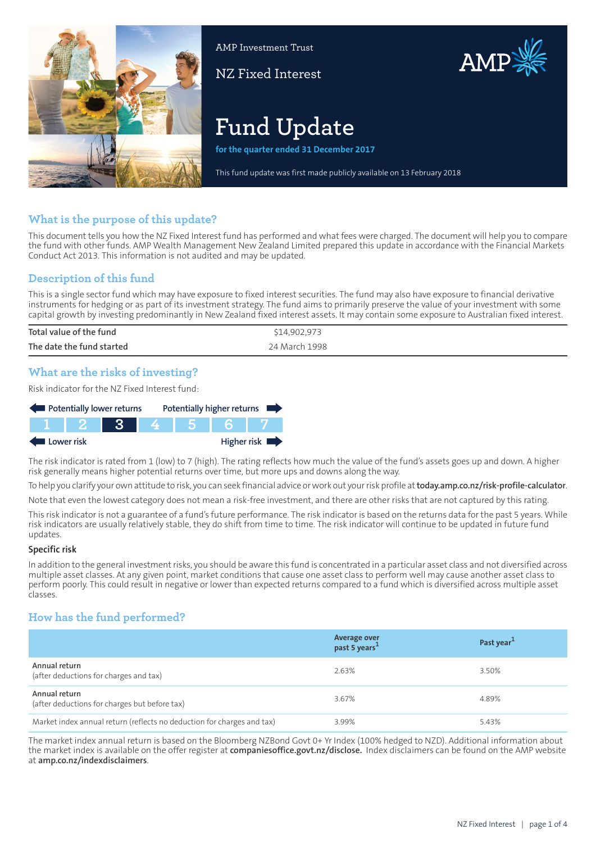

AMP Investment Trust

NZ Fixed Interest



# **Fund Update**

**for the quarter ended 31 December 2017**

This fund update was first made publicly available on 13 February 2018

# **What is the purpose of this update?**

This document tells you how the NZ Fixed Interest fund has performed and what fees were charged. The document will help you to compare the fund with other funds. AMP Wealth Management New Zealand Limited prepared this update in accordance with the Financial Markets Conduct Act 2013. This information is not audited and may be updated.

# **Description of this fund**

This is a single sector fund which may have exposure to fixed interest securities. The fund may also have exposure to financial derivative instruments for hedging or as part of its investment strategy. The fund aims to primarily preserve the value of your investment with some capital growth by investing predominantly in New Zealand fixed interest assets. It may contain some exposure to Australian fixed interest.

| Total value of the fund   | \$14,902,973  |
|---------------------------|---------------|
| The date the fund started | 24 March 1998 |

# **What are the risks of investing?**

Risk indicator for the NZ Fixed Interest fund:



The risk indicator is rated from 1 (low) to 7 (high). The rating reflects how much the value of the fund's assets goes up and down. A higher risk generally means higher potential returns over time, but more ups and downs along the way.

To help you clarify your own attitude to risk, you can seek financial advice orwork out yourrisk profile at**[today.amp.co.nz/risk-profile-calculator](http://today.amp.co.nz/risk-profile-calculator)**.

Note that even the lowest category does not mean a risk-free investment, and there are other risks that are not captured by this rating.

This risk indicator is not a guarantee of a fund's future performance. The risk indicator is based on the returns data for the past 5 years. While risk indicators are usually relatively stable, they do shift from time to time. The risk indicator will continue to be updated in future fund updates.

#### **Specific risk**

In addition to the general investmentrisks, you should be aware this fund is concentrated in a particular asset class and not diversified across multiple asset classes. At any given point, market conditions that cause one asset class to perform well may cause another asset class to perform poorly. This could result in negative or lower than expected returns compared to a fund which is diversified across multiple asset classes.

# **How has the fund performed?**

|                                                                        | Average over<br>past 5 years <sup>1</sup> | Past year <sup>1</sup> |
|------------------------------------------------------------------------|-------------------------------------------|------------------------|
| Annual return<br>(after deductions for charges and tax)                | 2.63%                                     | 3.50%                  |
| Annual return<br>(after deductions for charges but before tax)         | 3.67%                                     | 4.89%                  |
| Market index annual return (reflects no deduction for charges and tax) | 3.99%                                     | 5.43%                  |

The market index annual return is based on the Bloomberg NZBond Govt 0+ Yr Index (100% hedged to NZD). Additional information about the market index is available on the offer register at **[companiesoffice.govt.nz/disclose.](http://companiesoffice.govt.nz/disclose)** Index disclaimers can be found on the AMP website at **[amp.co.nz/indexdisclaimers](http://amp.co.nz/indexdisclaimers)**.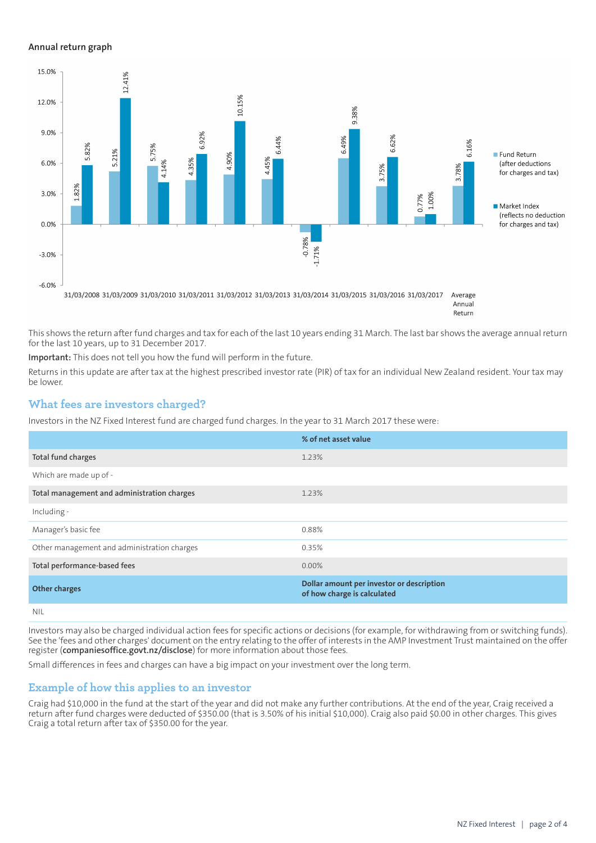#### **Annual return graph**



Annual Return

This shows the return after fund charges and tax for each of the last 10 years ending 31 March. The last bar shows the average annual return for the last 10 years, up to 31 December 2017.

**Important:** This does not tell you how the fund will perform in the future.

Returns in this update are after tax at the highest prescribed investor rate (PIR) of tax for an individual New Zealand resident. Your tax may be lower.

## **What fees are investors charged?**

Investors in the NZ Fixed Interest fund are charged fund charges. In the year to 31 March 2017 these were:

|                                             | % of net asset value                                                     |
|---------------------------------------------|--------------------------------------------------------------------------|
| Total fund charges                          | 1.23%                                                                    |
| Which are made up of -                      |                                                                          |
| Total management and administration charges | 1.23%                                                                    |
| Including -                                 |                                                                          |
| Manager's basic fee                         | 0.88%                                                                    |
| Other management and administration charges | 0.35%                                                                    |
| Total performance-based fees                | $0.00\%$                                                                 |
| <b>Other charges</b>                        | Dollar amount per investor or description<br>of how charge is calculated |
| .                                           |                                                                          |

NIL

Investors may also be charged individual action fees for specific actions or decisions (for example, for withdrawing from or switching funds). See the 'fees and other charges' document on the entry relating to the offer of interests in the AMP Investment Trust maintained on the offer register (**[companiesoffice.govt.nz/disclose](http://companiesoffice.govt.nz/disclose)**) for more information about those fees.

Small differences in fees and charges can have a big impact on your investment over the long term.

## **Example of how this applies to an investor**

Craig had \$10,000 in the fund at the start of the year and did not make any further contributions. At the end of the year, Craig received a return after fund charges were deducted of \$350.00 (that is 3.50% of his initial \$10,000). Craig also paid \$0.00 in other charges. This gives Craig a total return after tax of \$350.00 for the year.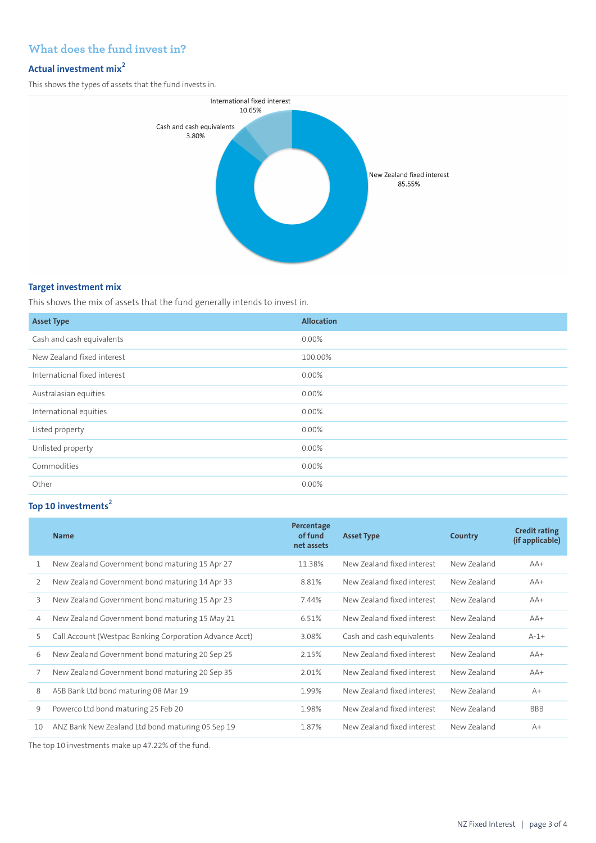# **What does the fund invest in?**

# **Actual investment mix<sup>2</sup>**

This shows the types of assets that the fund invests in.



## **Target investment mix**

This shows the mix of assets that the fund generally intends to invest in.

| <b>Asset Type</b>            | <b>Allocation</b> |
|------------------------------|-------------------|
| Cash and cash equivalents    | 0.00%             |
| New Zealand fixed interest   | 100.00%           |
| International fixed interest | 0.00%             |
| Australasian equities        | 0.00%             |
| International equities       | $0.00\%$          |
| Listed property              | 0.00%             |
| Unlisted property            | $0.00\%$          |
| Commodities                  | 0.00%             |
| Other                        | 0.00%             |

# **Top 10 investments<sup>2</sup>**

|    | <b>Name</b>                                             | Percentage<br>of fund<br>net assets | <b>Asset Type</b>          | Country     | <b>Credit rating</b><br>(if applicable) |
|----|---------------------------------------------------------|-------------------------------------|----------------------------|-------------|-----------------------------------------|
| 1  | New Zealand Government bond maturing 15 Apr 27          | 11.38%                              | New Zealand fixed interest | New Zealand | $AA+$                                   |
| 2  | New Zealand Government bond maturing 14 Apr 33          | 8.81%                               | New Zealand fixed interest | New Zealand | $AA+$                                   |
| 3  | New Zealand Government bond maturing 15 Apr 23          | 7.44%                               | New Zealand fixed interest | New Zealand | $AA+$                                   |
| 4  | New Zealand Government bond maturing 15 May 21          | 6.51%                               | New Zealand fixed interest | New Zealand | $AA+$                                   |
| 5  | Call Account (Westpac Banking Corporation Advance Acct) | 3.08%                               | Cash and cash equivalents  | New Zealand | $A-1+$                                  |
| 6  | New Zealand Government bond maturing 20 Sep 25          | 2.15%                               | New Zealand fixed interest | New Zealand | $AA+$                                   |
| 7  | New Zealand Government bond maturing 20 Sep 35          | 2.01%                               | New Zealand fixed interest | New Zealand | $AA+$                                   |
| 8  | ASB Bank Ltd bond maturing 08 Mar 19                    | 1.99%                               | New Zealand fixed interest | New Zealand | $A+$                                    |
| 9  | Powerco Ltd bond maturing 25 Feb 20                     | 1.98%                               | New Zealand fixed interest | New Zealand | <b>BBB</b>                              |
| 10 | ANZ Bank New Zealand Ltd bond maturing 05 Sep 19        | 1.87%                               | New Zealand fixed interest | New Zealand | $A+$                                    |

The top 10 investments make up 47.22% of the fund.